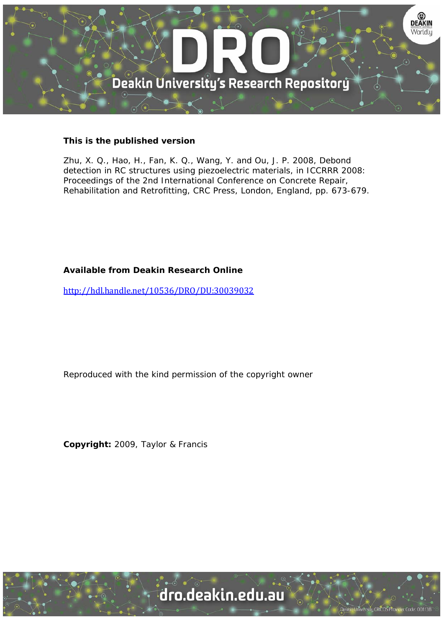

# **This is the published version**

Zhu, X. Q., Hao, H., Fan, K. Q., Wang, Y. and Ou, J. P. 2008, Debond detection in RC structures using piezoelectric materials, in ICCRRR 2008: Proceedings of the 2nd International Conference on Concrete Repair, Rehabilitation and Retrofitting, CRC Press, London, England, pp. 673-679.

# **Available from Deakin Research Online**

http://hdl.handle.net/10536/DRO/DU:30039032

Reproduced with the kind permission of the copyright owner

**Copyright:** 2009, Taylor & Francis

University CRICOS Provider Code: 00113B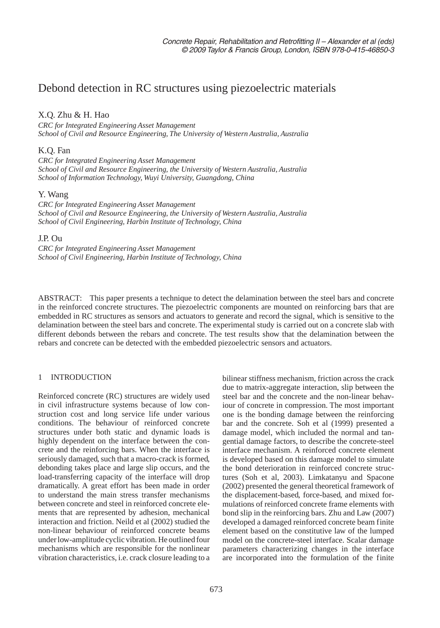# Debond detection in RC structures using piezoelectric materials

# X.Q. Zhu & H. Hao

*CRC for Integrated Engineering Asset Management School of Civil and Resource Engineering, The University of Western Australia, Australia*

# K.Q. Fan

*CRC for Integrated Engineering Asset Management School of Civil and Resource Engineering, the University of Western Australia, Australia School of Information Technology, Wuyi University, Guangdong, China*

# Y. Wang

*CRC for Integrated Engineering Asset Management School of Civil and Resource Engineering, the University of Western Australia, Australia School of Civil Engineering, Harbin Institute of Technology, China*

## J.P. Ou

*CRC for Integrated Engineering Asset Management School of Civil Engineering, Harbin Institute of Technology, China*

ABSTRACT: This paper presents a technique to detect the delamination between the steel bars and concrete in the reinforced concrete structures. The piezoelectric components are mounted on reinforcing bars that are embedded in RC structures as sensors and actuators to generate and record the signal, which is sensitive to the delamination between the steel bars and concrete. The experimental study is carried out on a concrete slab with different debonds between the rebars and concrete. The test results show that the delamination between the rebars and concrete can be detected with the embedded piezoelectric sensors and actuators.

# 1 INTRODUCTION

Reinforced concrete (RC) structures are widely used in civil infrastructure systems because of low construction cost and long service life under various conditions. The behaviour of reinforced concrete structures under both static and dynamic loads is highly dependent on the interface between the concrete and the reinforcing bars. When the interface is seriously damaged, such that a macro-crack is formed, debonding takes place and large slip occurs, and the load-transferring capacity of the interface will drop dramatically. A great effort has been made in order to understand the main stress transfer mechanisms between concrete and steel in reinforced concrete elements that are represented by adhesion, mechanical interaction and friction. Neild et al (2002) studied the non-linear behaviour of reinforced concrete beams under low-amplitude cyclic vibration. He outlined four mechanisms which are responsible for the nonlinear vibration characteristics, i.e. crack closure leading to a bilinear stiffness mechanism, friction across the crack due to matrix-aggregate interaction, slip between the steel bar and the concrete and the non-linear behaviour of concrete in compression. The most important one is the bonding damage between the reinforcing bar and the concrete. Soh et al (1999) presented a damage model, which included the normal and tangential damage factors, to describe the concrete-steel interface mechanism. A reinforced concrete element is developed based on this damage model to simulate the bond deterioration in reinforced concrete structures (Soh et al, 2003). Limkatanyu and Spacone (2002) presented the general theoretical framework of the displacement-based, force-based, and mixed formulations of reinforced concrete frame elements with bond slip in the reinforcing bars. Zhu and Law (2007) developed a damaged reinforced concrete beam finite element based on the constitutive law of the lumped model on the concrete-steel interface. Scalar damage parameters characterizing changes in the interface are incorporated into the formulation of the finite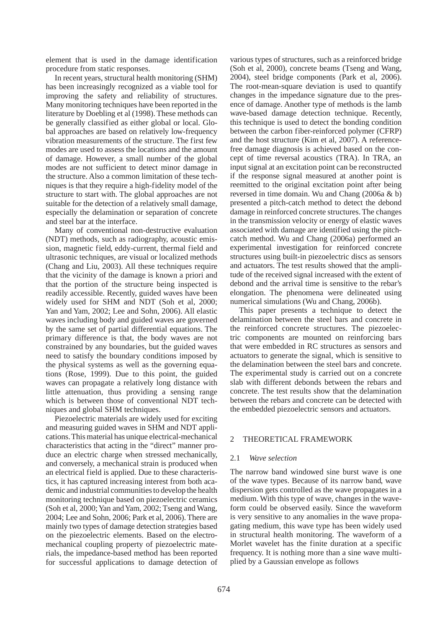element that is used in the damage identification procedure from static responses.

In recent years, structural health monitoring (SHM) has been increasingly recognized as a viable tool for improving the safety and reliability of structures. Many monitoring techniques have been reported in the literature by Doebling et al (1998). These methods can be generally classified as either global or local. Global approaches are based on relatively low-frequency vibration measurements of the structure. The first few modes are used to assess the locations and the amount of damage. However, a small number of the global modes are not sufficient to detect minor damage in the structure. Also a common limitation of these techniques is that they require a high-fidelity model of the structure to start with. The global approaches are not suitable for the detection of a relatively small damage, especially the delamination or separation of concrete and steel bar at the interface.

Many of conventional non-destructive evaluation (NDT) methods, such as radiography, acoustic emission, magnetic field, eddy-current, thermal field and ultrasonic techniques, are visual or localized methods (Chang and Liu, 2003). All these techniques require that the vicinity of the damage is known a priori and that the portion of the structure being inspected is readily accessible. Recently, guided waves have been widely used for SHM and NDT (Soh et al, 2000; Yan and Yam, 2002; Lee and Sohn, 2006). All elastic waves including body and guided waves are governed by the same set of partial differential equations. The primary difference is that, the body waves are not constrained by any boundaries, but the guided waves need to satisfy the boundary conditions imposed by the physical systems as well as the governing equations (Rose, 1999). Due to this point, the guided waves can propagate a relatively long distance with little attenuation, thus providing a sensing range which is between those of conventional NDT techniques and global SHM techniques.

Piezoelectric materials are widely used for exciting and measuring guided waves in SHM and NDT applications. This material has unique electrical-mechanical characteristics that acting in the "direct" manner produce an electric charge when stressed mechanically, and conversely, a mechanical strain is produced when an electrical field is applied. Due to these characteristics, it has captured increasing interest from both academic and industrial communities to develop the health monitoring technique based on piezoelectric ceramics (Soh et al, 2000; Yan and Yam, 2002; Tseng and Wang, 2004; Lee and Sohn, 2006; Park et al, 2006). There are mainly two types of damage detection strategies based on the piezoelectric elements. Based on the electromechanical coupling property of piezoelectric materials, the impedance-based method has been reported for successful applications to damage detection of various types of structures, such as a reinforced bridge (Soh et al, 2000), concrete beams (Tseng and Wang, 2004), steel bridge components (Park et al, 2006). The root-mean-square deviation is used to quantify changes in the impedance signature due to the presence of damage. Another type of methods is the lamb wave-based damage detection technique. Recently, this technique is used to detect the bonding condition between the carbon fiber-reinforced polymer (CFRP) and the host structure (Kim et al, 2007). A referencefree damage diagnosis is achieved based on the concept of time reversal acoustics (TRA). In TRA, an input signal at an excitation point can be reconstructed if the response signal measured at another point is reemitted to the original excitation point after being reversed in time domain. Wu and Chang (2006a & b) presented a pitch-catch method to detect the debond damage in reinforced concrete structures. The changes in the transmission velocity or energy of elastic waves associated with damage are identified using the pitchcatch method. Wu and Chang (2006a) performed an experimental investigation for reinforced concrete structures using built-in piezoelectric discs as sensors and actuators. The test results showed that the amplitude of the received signal increased with the extent of debond and the arrival time is sensitive to the rebar's elongation. The phenomena were delineated using numerical simulations (Wu and Chang, 2006b).

This paper presents a technique to detect the delamination between the steel bars and concrete in the reinforced concrete structures. The piezoelectric components are mounted on reinforcing bars that were embedded in RC structures as sensors and actuators to generate the signal, which is sensitive to the delamination between the steel bars and concrete. The experimental study is carried out on a concrete slab with different debonds between the rebars and concrete. The test results show that the delamination between the rebars and concrete can be detected with the embedded piezoelectric sensors and actuators.

### 2 THEORETICAL FRAMEWORK

#### 2.1 *Wave selection*

The narrow band windowed sine burst wave is one of the wave types. Because of its narrow band, wave dispersion gets controlled as the wave propagates in a medium. With this type of wave, changes in the waveform could be observed easily. Since the waveform is very sensitive to any anomalies in the wave propagating medium, this wave type has been widely used in structural health monitoring. The waveform of a Morlet wavelet has the finite duration at a specific frequency. It is nothing more than a sine wave multiplied by a Gaussian envelope as follows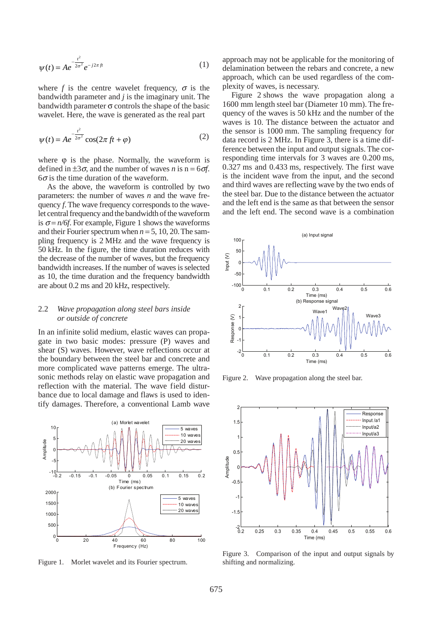$$
\psi(t) = Ae^{-\frac{t^2}{2\sigma^2}}e^{-j2\pi ft}
$$
 (1)

where *f* is the centre wavelet frequency,  $\sigma$  is the bandwidth parameter and *j* is the imaginary unit. The bandwidth parameter  $\sigma$  controls the shape of the basic wavelet. Here, the wave is generated as the real part

$$
\psi(t) = Ae^{-\frac{t^2}{2\sigma^2}}\cos(2\pi ft + \varphi)
$$
\n(2)

where  $\phi$  is the phase. Normally, the waveform is defined in  $\pm 3\sigma$ , and the number of waves *n* is n = 6 $\sigma$ *f*.  $6\sigma$  is the time duration of the waveform.

As the above, the waveform is controlled by two parameters: the number of waves *n* and the wave frequency *f*. The wave frequency corresponds to the wavelet central frequency and the bandwidth of the waveform is  $\sigma = n/6f$ . For example, Figure 1 shows the waveforms and their Fourier spectrum when  $n = 5$ , 10, 20. The sampling frequency is 2 MHz and the wave frequency is 50 kHz. In the figure, the time duration reduces with the decrease of the number of waves, but the frequency bandwidth increases. If the number of waves is selected as 10, the time duration and the frequency bandwidth are about 0.2 ms and 20 kHz, respectively.

### 2.2 *Wave propagation along steel bars inside or outside of concrete*

In an infinite solid medium, elastic waves can propagate in two basic modes: pressure (P) waves and shear (S) waves. However, wave reflections occur at the boundary between the steel bar and concrete and more complicated wave patterns emerge. The ultrasonic methods relay on elastic wave propagation and reflection with the material. The wave field disturbance due to local damage and flaws is used to identify damages. Therefore, a conventional Lamb wave



Figure 1. Morlet wavelet and its Fourier spectrum.

approach may not be applicable for the monitoring of delamination between the rebars and concrete, a new approach, which can be used regardless of the complexity of waves, is necessary.

Figure 2 shows the wave propagation along a 1600 mm length steel bar (Diameter 10 mm). The frequency of the waves is 50 kHz and the number of the waves is 10. The distance between the actuator and the sensor is 1000 mm. The sampling frequency for data record is 2 MHz. In Figure 3, there is a time difference between the input and output signals. The corresponding time intervals for 3 waves are 0.200 ms, 0.327 ms and 0.433 ms, respectively. The first wave is the incident wave from the input, and the second and third waves are reflecting wave by the two ends of the steel bar. Due to the distance between the actuator and the left end is the same as that between the sensor and the left end. The second wave is a combination



Figure 2. Wave propagation along the steel bar.



Figure 3. Comparison of the input and output signals by shifting and normalizing.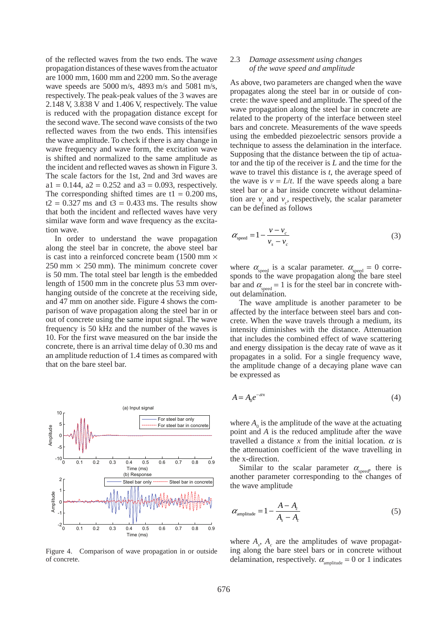of the reflected waves from the two ends. The wave propagation distances of these waves from the actuator are 1000 mm, 1600 mm and 2200 mm. So the average wave speeds are 5000 m/s, 4893 m/s and 5081 m/s, respectively. The peak-peak values of the 3 waves are 2.148 V, 3.838 V and 1.406 V, respectively. The value is reduced with the propagation distance except for the second wave. The second wave consists of the two reflected waves from the two ends. This intensifies the wave amplitude. To check if there is any change in wave frequency and wave form, the excitation wave is shifted and normalized to the same amplitude as the incident and reflected waves as shown in Figure 3. The scale factors for the 1st, 2nd and 3rd waves are  $a1 = 0.144$ ,  $a2 = 0.252$  and  $a3 = 0.093$ , respectively. The corresponding shifted times are  $t_1 = 0.200$  ms,  $t2 = 0.327$  ms and  $t3 = 0.433$  ms. The results show that both the incident and reflected waves have very similar wave form and wave frequency as the excitation wave.

In order to understand the wave propagation along the steel bar in concrete, the above steel bar is cast into a reinforced concrete beam  $(1500 \text{ mm} \times$  $250$  mm  $\times$  250 mm). The minimum concrete cover is 50 mm. The total steel bar length is the embedded length of 1500 mm in the concrete plus 53 mm overhanging outside of the concrete at the receiving side, and 47 mm on another side. Figure 4 shows the comparison of wave propagation along the steel bar in or out of concrete using the same input signal. The wave frequency is 50 kHz and the number of the waves is 10. For the first wave measured on the bar inside the concrete, there is an arrival time delay of 0.30 ms and an amplitude reduction of 1.4 times as compared with that on the bare steel bar.



Figure 4. Comparison of wave propagation in or outside of concrete.

#### 2.3 *Damage assessment using changes of the wave speed and amplitude*

As above, two parameters are changed when the wave propagates along the steel bar in or outside of concrete: the wave speed and amplitude. The speed of the wave propagation along the steel bar in concrete are related to the property of the interface between steel bars and concrete. Measurements of the wave speeds using the embedded piezoelectric sensors provide a technique to assess the delamination in the interface. Supposing that the distance between the tip of actuator and the tip of the receiver is *L* and the time for the wave to travel this distance is *t*, the average speed of the wave is  $v = L/t$ . If the wave speeds along a bare steel bar or a bar inside concrete without delamination are  $v_{\varepsilon}$  and  $v_{\varepsilon}$ , respectively, the scalar parameter can be defined as follows

$$
\alpha_{\text{speed}} = 1 - \frac{v - v_c}{v_s - v_c} \tag{3}
$$

where  $\alpha_{\text{speed}}$  is a scalar parameter.  $\alpha_{\text{speed}} = 0$  corresponds to the wave propagation along the bare steel bar and  $\alpha_{\text{speed}} = 1$  is for the steel bar in concrete without delamination.

The wave amplitude is another parameter to be affected by the interface between steel bars and concrete. When the wave travels through a medium, its intensity diminishes with the distance. Attenuation that includes the combined effect of wave scattering and energy dissipation is the decay rate of wave as it propagates in a solid. For a single frequency wave, the amplitude change of a decaying plane wave can be expressed as

$$
A = A_0 e^{-\alpha x} \tag{4}
$$

where  $A_0$  is the amplitude of the wave at the actuating point and *A* is the reduced amplitude after the wave travelled a distance *x* from the initial location.  $\alpha$  is the attenuation coefficient of the wave travelling in the x-direction.

Similar to the scalar parameter  $\alpha_{\text{speed}}$ , there is another parameter corresponding to the changes of the wave amplitude

$$
\alpha_{\text{amplitude}} = 1 - \frac{A - A_c}{A_s - A_c} \tag{5}
$$

where  $A_s$ ,  $A_c$  are the amplitudes of wave propagating along the bare steel bars or in concrete without delamination, respectively.  $\alpha_{\text{amplitude}} = 0$  or 1 indicates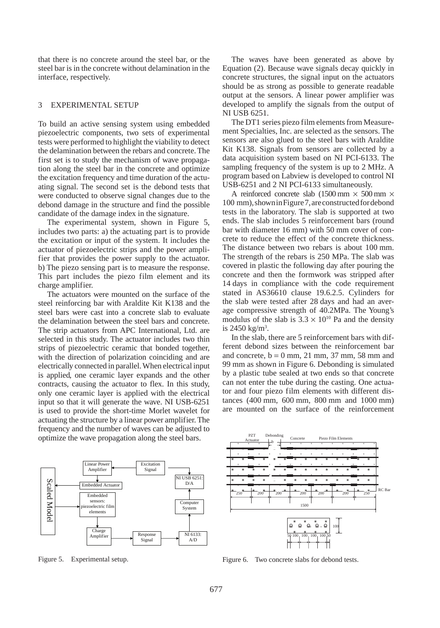that there is no concrete around the steel bar, or the steel bar is in the concrete without delamination in the interface, respectively.

## 3 EXPERIMENTAL SETUP

To build an active sensing system using embedded piezoelectric components, two sets of experimental tests were performed to highlight the viability to detect the delamination between the rebars and concrete. The first set is to study the mechanism of wave propagation along the steel bar in the concrete and optimize the excitation frequency and time duration of the actuating signal. The second set is the debond tests that were conducted to observe signal changes due to the debond damage in the structure and find the possible candidate of the damage index in the signature.

The experimental system, shown in Figure 5, includes two parts: a) the actuating part is to provide the excitation or input of the system. It includes the actuator of piezoelectric strips and the power amplifier that provides the power supply to the actuator. b) The piezo sensing part is to measure the response. This part includes the piezo film element and its charge amplifier.

The actuators were mounted on the surface of the steel reinforcing bar with Araldite Kit K138 and the steel bars were cast into a concrete slab to evaluate the delamination between the steel bars and concrete. The strip actuators from APC International, Ltd. are selected in this study. The actuator includes two thin strips of piezoelectric ceramic that bonded together, with the direction of polarization coinciding and are electrically connected in parallel. When electrical input is applied, one ceramic layer expands and the other contracts, causing the actuator to flex. In this study, only one ceramic layer is applied with the electrical input so that it will generate the wave. NI USB-6251 is used to provide the short-time Morlet wavelet for actuating the structure by a linear power amplifier. The frequency and the number of waves can be adjusted to optimize the wave propagation along the steel bars.



The waves have been generated as above by Equation (2). Because wave signals decay quickly in concrete structures, the signal input on the actuators should be as strong as possible to generate readable output at the sensors. A linear power amplifier was developed to amplify the signals from the output of NI USB 6251.

The DT1 series piezo film elements from Measurement Specialties, Inc. are selected as the sensors. The sensors are also glued to the steel bars with Araldite Kit K138. Signals from sensors are collected by a data acquisition system based on NI PCI-6133. The sampling frequency of the system is up to 2 MHz. A program based on Labview is developed to control NI USB-6251 and 2 NI PCI-6133 simultaneously.

A reinforced concrete slab (1500 mm  $\times$  500 mm  $\times$ 100 mm), shown in Figure 7, are constructed for debond tests in the laboratory. The slab is supported at two ends. The slab includes 5 reinforcement bars (round bar with diameter 16 mm) with 50 mm cover of concrete to reduce the effect of the concrete thickness. The distance between two rebars is about 100 mm. The strength of the rebars is 250 MPa. The slab was covered in plastic the following day after pouring the concrete and then the formwork was stripped after 14 days in compliance with the code requirement stated in AS36610 clause 19.6.2.5. Cylinders for the slab were tested after 28 days and had an average compressive strength of 40.2MPa. The Young's modulus of the slab is  $3.3 \times 10^{10}$  Pa and the density is 2450 kg/m3 .

In the slab, there are 5 reinforcement bars with different debond sizes between the reinforcement bar and concrete,  $b = 0$  mm, 21 mm, 37 mm, 58 mm and 99 mm as shown in Figure 6. Debonding is simulated by a plastic tube sealed at two ends so that concrete can not enter the tube during the casting. One actuator and four piezo film elements with different distances (400 mm, 600 mm, 800 mm and 1000 mm) are mounted on the surface of the reinforcement



Figure 6. Two concrete slabs for debond tests.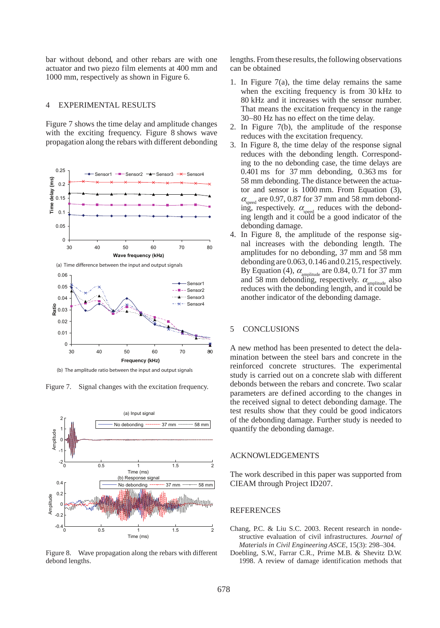bar without debond, and other rebars are with one actuator and two piezo film elements at 400 mm and 1000 mm, respectively as shown in Figure 6.

## 4 EXPERIMENTAL RESULTS

Figure 7 shows the time delay and amplitude changes with the exciting frequency. Figure 8 shows wave propagation along the rebars with different debonding



(b) The amplitude ratio between the input and output signals

Figure 7. Signal changes with the excitation frequency.



Figure 8. Wave propagation along the rebars with different debond lengths.

lengths. From these results, the following observations can be obtained

- 1. In Figure 7(a), the time delay remains the same when the exciting frequency is from 30 kHz to 80 kHz and it increases with the sensor number. That means the excitation frequency in the range 30∼80 Hz has no effect on the time delay.
- 2. In Figure 7(b), the amplitude of the response reduces with the excitation frequency.
- 3. In Figure 8, the time delay of the response signal reduces with the debonding length. Corresponding to the no debonding case, the time delays are 0.401 ms for 37 mm debonding, 0.363 ms for 58 mm debonding. The distance between the actuator and sensor is 1000 mm. From Equation (3),  $\alpha_{\text{speed}}$  are 0.97, 0.87 for 37 mm and 58 mm debonding, respectively.  $\alpha_{\text{closed}}$  reduces with the debonding length and it could be a good indicator of the debonding damage.
- 4. In Figure 8, the amplitude of the response signal increases with the debonding length. The amplitudes for no debonding, 37 mm and 58 mm debonding are 0.063, 0.146 and 0.215, respectively. By Equation (4),  $\alpha_{\text{amplitude}}$  are 0.84, 0.71 for 37 mm and 58 mm debonding, respectively.  $\alpha$ <sub>amplitude</sub> also reduces with the debonding length, and it could be another indicator of the debonding damage.

## 5 CONCLUSIONS

A new method has been presented to detect the delamination between the steel bars and concrete in the reinforced concrete structures. The experimental study is carried out on a concrete slab with different debonds between the rebars and concrete. Two scalar parameters are defined according to the changes in the received signal to detect debonding damage. The test results show that they could be good indicators of the debonding damage. Further study is needed to quantify the debonding damage.

#### ACKNOWLEDGEMENTS

The work described in this paper was supported from CIEAM through Project ID207.

#### **REFERENCES**

Chang, P.C. & Liu S.C. 2003. Recent research in nondestructive evaluation of civil infrastructures. *Journal of Materials in Civil Engineering ASCE*, 15(3): 298–304.

Doebling, S.W., Farrar C.R., Prime M.B. & Shevitz D.W. 1998. A review of damage identification methods that